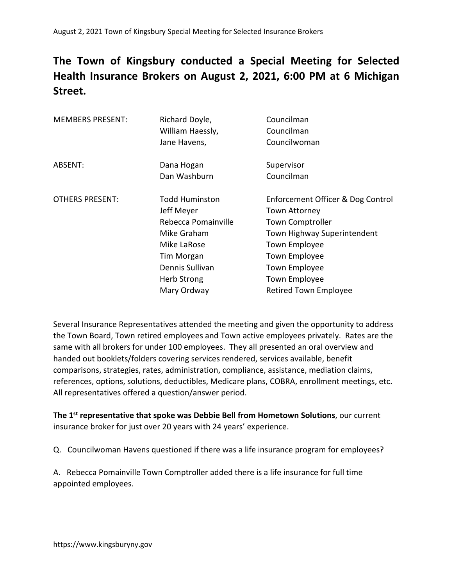## The Town of Kingsbury conducted a Special Meeting for Selected Health Insurance Brokers on August 2, 2021, 6:00 PM at 6 Michigan Street.

| <b>MEMBERS PRESENT:</b> | Richard Doyle,        | Councilman                        |
|-------------------------|-----------------------|-----------------------------------|
|                         | William Haessly,      | Councilman                        |
|                         | Jane Havens,          | Councilwoman                      |
| ABSENT:                 | Dana Hogan            | Supervisor                        |
|                         | Dan Washburn          | Councilman                        |
| <b>OTHERS PRESENT:</b>  | <b>Todd Huminston</b> | Enforcement Officer & Dog Control |
|                         | Jeff Meyer            | <b>Town Attorney</b>              |
|                         | Rebecca Pomainville   | <b>Town Comptroller</b>           |
|                         | Mike Graham           | Town Highway Superintendent       |
|                         | Mike LaRose           | <b>Town Employee</b>              |
|                         | <b>Tim Morgan</b>     | <b>Town Employee</b>              |
|                         | Dennis Sullivan       | <b>Town Employee</b>              |
|                         | <b>Herb Strong</b>    | Town Employee                     |
|                         | Mary Ordway           | <b>Retired Town Employee</b>      |
|                         |                       |                                   |

Several Insurance Representatives attended the meeting and given the opportunity to address the Town Board, Town retired employees and Town active employees privately. Rates are the same with all brokers for under 100 employees. They all presented an oral overview and handed out booklets/folders covering services rendered, services available, benefit comparisons, strategies, rates, administration, compliance, assistance, mediation claims, references, options, solutions, deductibles, Medicare plans, COBRA, enrollment meetings, etc. All representatives offered a question/answer period.

The 1<sup>st</sup> representative that spoke was Debbie Bell from Hometown Solutions, our current insurance broker for just over 20 years with 24 years' experience.

Q. Councilwoman Havens questioned if there was a life insurance program for employees?

A. Rebecca Pomainville Town Comptroller added there is a life insurance for full time appointed employees.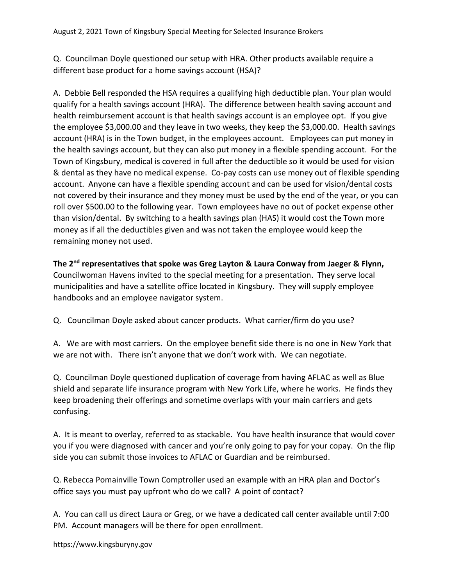Q. Councilman Doyle questioned our setup with HRA. Other products available require a different base product for a home savings account (HSA)?

A. Debbie Bell responded the HSA requires a qualifying high deductible plan. Your plan would qualify for a health savings account (HRA). The difference between health saving account and health reimbursement account is that health savings account is an employee opt. If you give the employee \$3,000.00 and they leave in two weeks, they keep the \$3,000.00. Health savings account (HRA) is in the Town budget, in the employees account. Employees can put money in the health savings account, but they can also put money in a flexible spending account. For the Town of Kingsbury, medical is covered in full after the deductible so it would be used for vision & dental as they have no medical expense. Co-pay costs can use money out of flexible spending account. Anyone can have a flexible spending account and can be used for vision/dental costs not covered by their insurance and they money must be used by the end of the year, or you can roll over \$500.00 to the following year. Town employees have no out of pocket expense other than vision/dental. By switching to a health savings plan (HAS) it would cost the Town more money as if all the deductibles given and was not taken the employee would keep the remaining money not used.

The 2<sup>nd</sup> representatives that spoke was Greg Layton & Laura Conway from Jaeger & Flynn, Councilwoman Havens invited to the special meeting for a presentation. They serve local municipalities and have a satellite office located in Kingsbury. They will supply employee handbooks and an employee navigator system.

Q. Councilman Doyle asked about cancer products. What carrier/firm do you use?

A. We are with most carriers. On the employee benefit side there is no one in New York that we are not with. There isn't anyone that we don't work with. We can negotiate.

Q. Councilman Doyle questioned duplication of coverage from having AFLAC as well as Blue shield and separate life insurance program with New York Life, where he works. He finds they keep broadening their offerings and sometime overlaps with your main carriers and gets confusing.

A. It is meant to overlay, referred to as stackable. You have health insurance that would cover you if you were diagnosed with cancer and you're only going to pay for your copay. On the flip side you can submit those invoices to AFLAC or Guardian and be reimbursed.

Q. Rebecca Pomainville Town Comptroller used an example with an HRA plan and Doctor's office says you must pay upfront who do we call? A point of contact?

A. You can call us direct Laura or Greg, or we have a dedicated call center available until 7:00 PM. Account managers will be there for open enrollment.